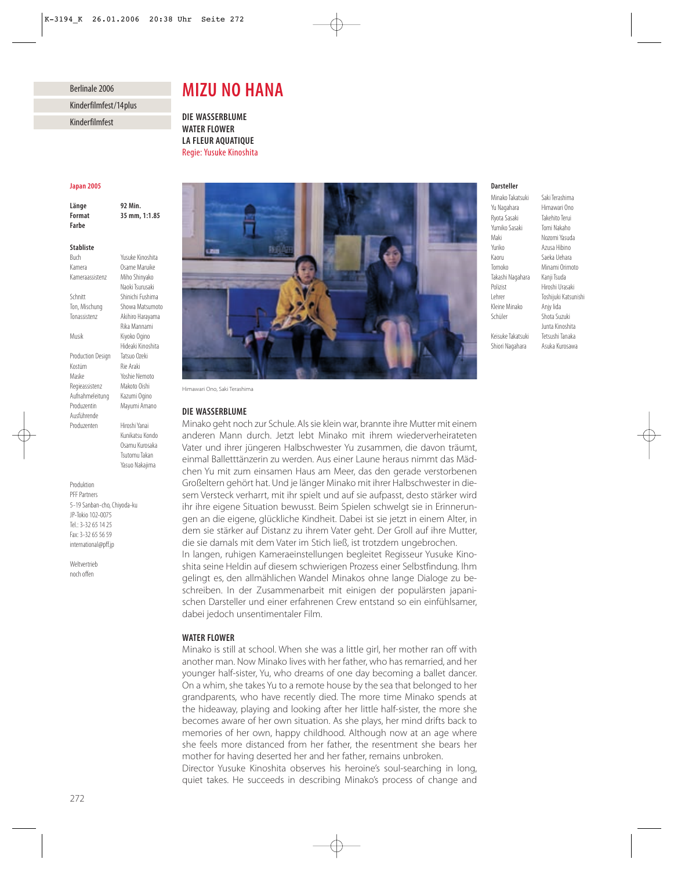## Berlinale 2006

Kinderfilmfest/14plus

Kinderfilmfest

# *MIZU NO HANA*

*DIE WASSERBLUME WATER FLOWER LA FLEUR AQUATIQUE* Regie: Yusuke Kinoshita

### *Japan 2005*

*Länge 92 Min. Format 35 mm, 1:1.85 Farbe*

### *Stabliste*

Buch Yusuke Kinoshita Kamera Osame Maruike Kameraassistenz Miho Shinyako Schnitt Shinichi Fushima Ton, Mischung Showa Matsumoto Tonassistenz Akihiro Harayama Musik Kiyoko Ogino Production Design Tatsuo Ozeki Kostüm Rie Araki Maske Yoshie Nemoto Regieassistenz Makoto Oishi Aufnahmeleitung Kazumi Ogino Produzentin Mayumi Amano Ausführende<br>Produzenten

Hiroshi Yanai Kunikatsu Kondo Osamu Kurosaka Tsutomu Takan Yasuo Nakajima

Naoki Tsurusaki

Rika Mannami

Hideaki Kinoshita

Produktion PFF Partners 5-19 Sanban-cho, Chiyoda-ku JP-Tokio 102-0075 Tel.: 3-32 65 14 25 Fax: 3-32 65 56 59 international@pff.jp

Weltvertrieb noch offen



Himawari Ono, Saki Terashima

# *DIE WASSERBLUME*

Minako geht noch zur Schule. Als sie klein war, brannte ihre Mutter mit einem anderen Mann durch. Jetzt lebt Minako mit ihrem wiederverheirateten Vater und ihrer jüngeren Halbschwester Yu zusammen, die davon träumt, einmal Balletttänzerin zu werden. Aus einer Laune heraus nimmt das Mädchen Yu mit zum einsamen Haus am Meer, das den gerade verstorbenen Großeltern gehört hat. Und je länger Minako mit ihrer Halbschwester in diesem Versteck verharrt, mit ihr spielt und auf sie aufpasst, desto stärker wird ihr ihre eigene Situation bewusst. Beim Spielen schwelgt sie in Erinnerungen an die eigene, glückliche Kindheit. Dabei ist sie jetzt in einem Alter, in dem sie stärker auf Distanz zu ihrem Vater geht. Der Groll auf ihre Mutter, die sie damals mit dem Vater im Stich ließ, ist trotzdem ungebrochen.

In langen, ruhigen Kameraeinstellungen begleitet Regisseur Yusuke Kinoshita seine Heldin auf diesem schwierigen Prozess einer Selbstfindung. Ihm gelingt es, den allmählichen Wandel Minakos ohne lange Dialoge zu beschreiben. In der Zusammenarbeit mit einigen der populärsten japanischen Darsteller und einer erfahrenen Crew entstand so ein einfühlsamer, dabei jedoch unsentimentaler Film.

## *WATER FLOWER*

Minako is still at school. When she was a little girl, her mother ran off with another man. Now Minako lives with her father, who has remarried, and her younger half-sister, Yu, who dreams of one day becoming a ballet dancer. On a whim, she takes Yu to a remote house by the sea that belonged to her grandparents, who have recently died. The more time Minako spends at the hideaway, playing and looking after her little half-sister, the more she becomes aware of her own situation. As she plays, her mind drifts back to memories of her own, happy childhood. Although now at an age where she feels more distanced from her father, the resentment she bears her mother for having deserted her and her father, remains unbroken.

Director Yusuke Kinoshita observes his heroine's soul-searching in long, quiet takes. He succeeds in describing Minako's process of change and

# *Darsteller*

Ryota Sasaki Takehito Terui Yumiko Sasaki Tomi Nakaho Maki Nozomi Yasuda Kaoru Saeka Uehara Tomoko Minami Orimoto Takashi Nagahara Kanji Tsuda Polizist Hiroshi Urasaki Kleine Minako Anjy Iida Schüler Shota Suzuki Keisuke Takatsuki

Minako Takatsuki Saki Terashima<br>Yu Nagahara Himawari Ono Himawari Ono Azusa Hibino Toshijuki Katsunishi Junta Kinoshita Shiori Nagahara Asuka Kurosawa